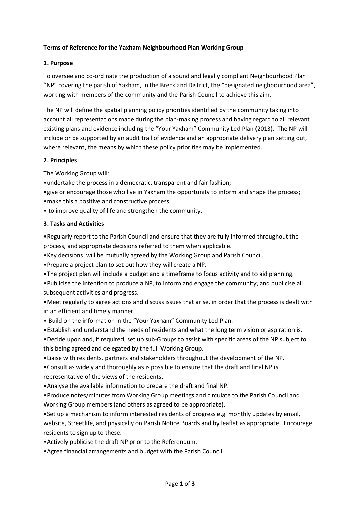# **Terms of Reference for the Yaxham Neighbourhood Plan Working Group**

## **1. Purpose**

To oversee and co-ordinate the production of a sound and legally compliant Neighbourhood Plan "NP" covering the parish of Yaxham, in the Breckland District, the "designated neighbourhood area", working with members of the community and the Parish Council to achieve this aim.

The NP will define the spatial planning policy priorities identified by the community taking into account all representations made during the plan-making process and having regard to all relevant existing plans and evidence including the "Your Yaxham" Community Led Plan (2013). The NP will include or be supported by an audit trail of evidence and an appropriate delivery plan setting out, where relevant, the means by which these policy priorities may be implemented.

#### **2. Principles**

The Working Group will:

•undertake the process in a democratic, transparent and fair fashion;

•give or encourage those who live in Yaxham the opportunity to inform and shape the process; •make this a positive and constructive process;

• to improve quality of life and strengthen the community.

# **3. Tasks and Activities**

•Regularly report to the Parish Council and ensure that they are fully informed throughout the process, and appropriate decisions referred to them when applicable.

•Key decisions will be mutually agreed by the Working Group and Parish Council.

•Prepare a project plan to set out how they will create a NP.

•The project plan will include a budget and a timeframe to focus activity and to aid planning.

•Publicise the intention to produce a NP, to inform and engage the community, and publicise all subsequent activities and progress.

•Meet regularly to agree actions and discuss issues that arise, in order that the process is dealt with in an efficient and timely manner.

• Build on the information in the "Your Yaxham" Community Led Plan.

•Establish and understand the needs of residents and what the long term vision or aspiration is.

•Decide upon and, if required, set up sub-Groups to assist with specific areas of the NP subject to this being agreed and delegated by the full Working Group.

•Liaise with residents, partners and stakeholders throughout the development of the NP.

•Consult as widely and thoroughly as is possible to ensure that the draft and final NP is representative of the views of the residents.

•Analyse the available information to prepare the draft and final NP.

•Produce notes/minutes from Working Group meetings and circulate to the Parish Council and Working Group members (and others as agreed to be appropriate).

•Set up a mechanism to inform interested residents of progress e.g. monthly updates by email, website, Streetlife, and physically on Parish Notice Boards and by leaflet as appropriate. Encourage residents to sign up to these.

•Actively publicise the draft NP prior to the Referendum.

•Agree financial arrangements and budget with the Parish Council.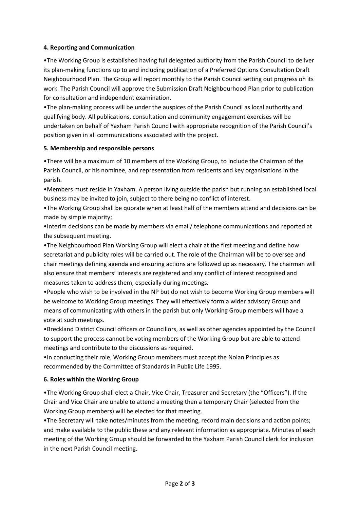# **4. Reporting and Communication**

•The Working Group is established having full delegated authority from the Parish Council to deliver its plan-making functions up to and including publication of a Preferred Options Consultation Draft Neighbourhood Plan. The Group will report monthly to the Parish Council setting out progress on its work. The Parish Council will approve the Submission Draft Neighbourhood Plan prior to publication for consultation and independent examination.

•The plan-making process will be under the auspices of the Parish Council as local authority and qualifying body. All publications, consultation and community engagement exercises will be undertaken on behalf of Yaxham Parish Council with appropriate recognition of the Parish Council's position given in all communications associated with the project.

#### **5. Membership and responsible persons**

•There will be a maximum of 10 members of the Working Group, to include the Chairman of the Parish Council, or his nominee, and representation from residents and key organisations in the parish.

•Members must reside in Yaxham. A person living outside the parish but running an established local business may be invited to join, subject to there being no conflict of interest.

•The Working Group shall be quorate when at least half of the members attend and decisions can be made by simple majority;

•Interim decisions can be made by members via email/ telephone communications and reported at the subsequent meeting.

•The Neighbourhood Plan Working Group will elect a chair at the first meeting and define how secretariat and publicity roles will be carried out. The role of the Chairman will be to oversee and chair meetings defining agenda and ensuring actions are followed up as necessary. The chairman will also ensure that members' interests are registered and any conflict of interest recognised and measures taken to address them, especially during meetings.

•People who wish to be involved in the NP but do not wish to become Working Group members will be welcome to Working Group meetings. They will effectively form a wider advisory Group and means of communicating with others in the parish but only Working Group members will have a vote at such meetings.

•Breckland District Council officers or Councillors, as well as other agencies appointed by the Council to support the process cannot be voting members of the Working Group but are able to attend meetings and contribute to the discussions as required.

•In conducting their role, Working Group members must accept the Nolan Principles as recommended by the Committee of Standards in Public Life 1995.

# **6. Roles within the Working Group**

•The Working Group shall elect a Chair, Vice Chair, Treasurer and Secretary (the "Officers"). If the Chair and Vice Chair are unable to attend a meeting then a temporary Chair (selected from the Working Group members) will be elected for that meeting.

•The Secretary will take notes/minutes from the meeting, record main decisions and action points; and make available to the public these and any relevant information as appropriate. Minutes of each meeting of the Working Group should be forwarded to the Yaxham Parish Council clerk for inclusion in the next Parish Council meeting.